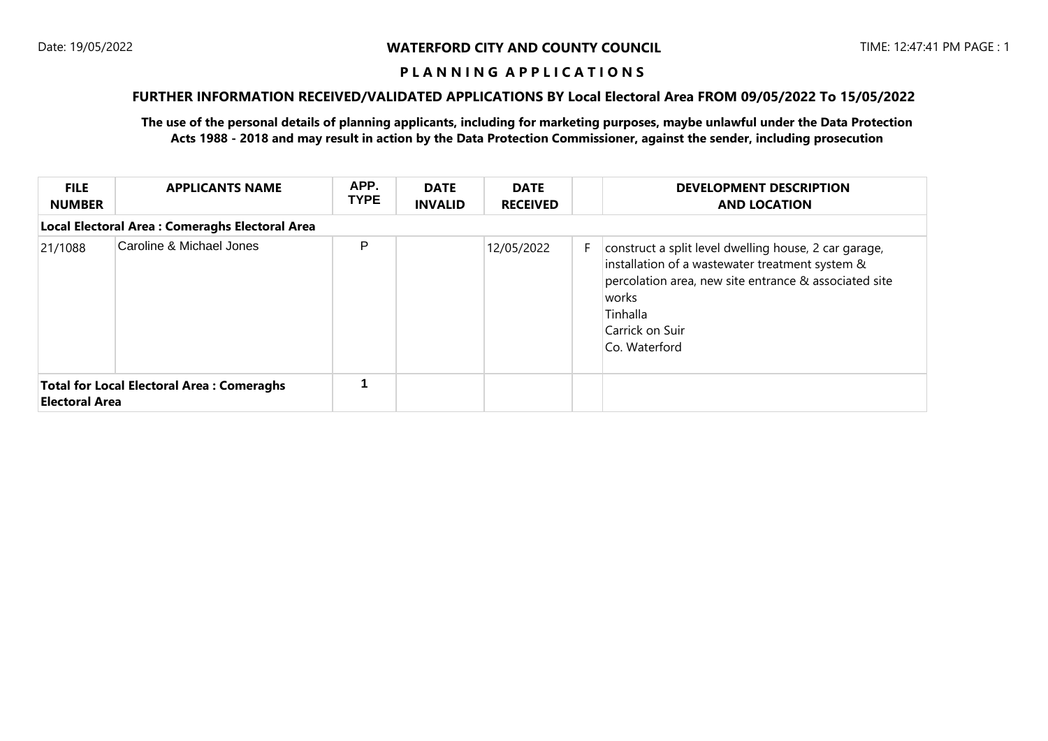# **FURTHER INFORMATION RECEIVED/VALIDATED APPLICATIONS BY Local Electoral Area FROM 09/05/2022 To 15/05/2022**

| <b>FILE</b><br><b>NUMBER</b>                                              | <b>APPLICANTS NAME</b> | APP.<br><b>TYPE</b> | <b>DATE</b><br><b>INVALID</b> | <b>DATE</b><br><b>RECEIVED</b> |    | <b>DEVELOPMENT DESCRIPTION</b><br><b>AND LOCATION</b>                                                                                                                                                                      |  |  |  |
|---------------------------------------------------------------------------|------------------------|---------------------|-------------------------------|--------------------------------|----|----------------------------------------------------------------------------------------------------------------------------------------------------------------------------------------------------------------------------|--|--|--|
| Local Electoral Area : Comeraghs Electoral Area                           |                        |                     |                               |                                |    |                                                                                                                                                                                                                            |  |  |  |
| Caroline & Michael Jones<br>21/1088                                       |                        | P                   |                               | 12/05/2022                     | F. | construct a split level dwelling house, 2 car garage,<br>installation of a wastewater treatment system &<br>percolation area, new site entrance & associated site<br>works<br>Tinhalla<br>Carrick on Suir<br>Co. Waterford |  |  |  |
| <b>Total for Local Electoral Area: Comeraghs</b><br><b>Electoral Area</b> |                        |                     |                               |                                |    |                                                                                                                                                                                                                            |  |  |  |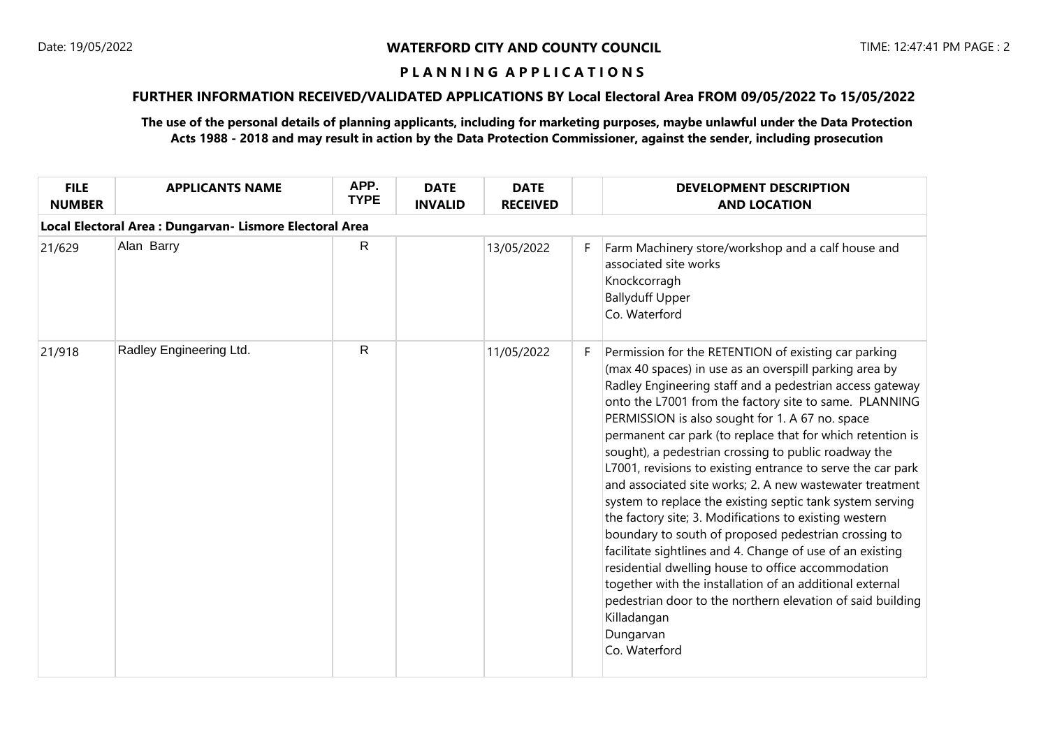# **FURTHER INFORMATION RECEIVED/VALIDATED APPLICATIONS BY Local Electoral Area FROM 09/05/2022 To 15/05/2022**

| <b>FILE</b><br><b>NUMBER</b>                             | <b>APPLICANTS NAME</b>  | APP.<br><b>TYPE</b> | <b>DATE</b><br><b>INVALID</b> | <b>DATE</b><br><b>RECEIVED</b> |   | <b>DEVELOPMENT DESCRIPTION</b><br><b>AND LOCATION</b>                                                                                                                                                                                                                                                                                                                                                                                                                                                                                                                                                                                                                                                                                                                                                                                                                                                                                                                                                             |  |  |  |
|----------------------------------------------------------|-------------------------|---------------------|-------------------------------|--------------------------------|---|-------------------------------------------------------------------------------------------------------------------------------------------------------------------------------------------------------------------------------------------------------------------------------------------------------------------------------------------------------------------------------------------------------------------------------------------------------------------------------------------------------------------------------------------------------------------------------------------------------------------------------------------------------------------------------------------------------------------------------------------------------------------------------------------------------------------------------------------------------------------------------------------------------------------------------------------------------------------------------------------------------------------|--|--|--|
| Local Electoral Area : Dungarvan- Lismore Electoral Area |                         |                     |                               |                                |   |                                                                                                                                                                                                                                                                                                                                                                                                                                                                                                                                                                                                                                                                                                                                                                                                                                                                                                                                                                                                                   |  |  |  |
| 21/629                                                   | Alan Barry              | $\mathsf{R}$        |                               | 13/05/2022                     | F | Farm Machinery store/workshop and a calf house and<br>associated site works<br>Knockcorragh<br><b>Ballyduff Upper</b><br>Co. Waterford                                                                                                                                                                                                                                                                                                                                                                                                                                                                                                                                                                                                                                                                                                                                                                                                                                                                            |  |  |  |
| 21/918                                                   | Radley Engineering Ltd. | $\mathsf{R}$        |                               | 11/05/2022                     | F | Permission for the RETENTION of existing car parking<br>(max 40 spaces) in use as an overspill parking area by<br>Radley Engineering staff and a pedestrian access gateway<br>onto the L7001 from the factory site to same. PLANNING<br>PERMISSION is also sought for 1. A 67 no. space<br>permanent car park (to replace that for which retention is<br>sought), a pedestrian crossing to public roadway the<br>L7001, revisions to existing entrance to serve the car park<br>and associated site works; 2. A new wastewater treatment<br>system to replace the existing septic tank system serving<br>the factory site; 3. Modifications to existing western<br>boundary to south of proposed pedestrian crossing to<br>facilitate sightlines and 4. Change of use of an existing<br>residential dwelling house to office accommodation<br>together with the installation of an additional external<br>pedestrian door to the northern elevation of said building<br>Killadangan<br>Dungarvan<br>Co. Waterford |  |  |  |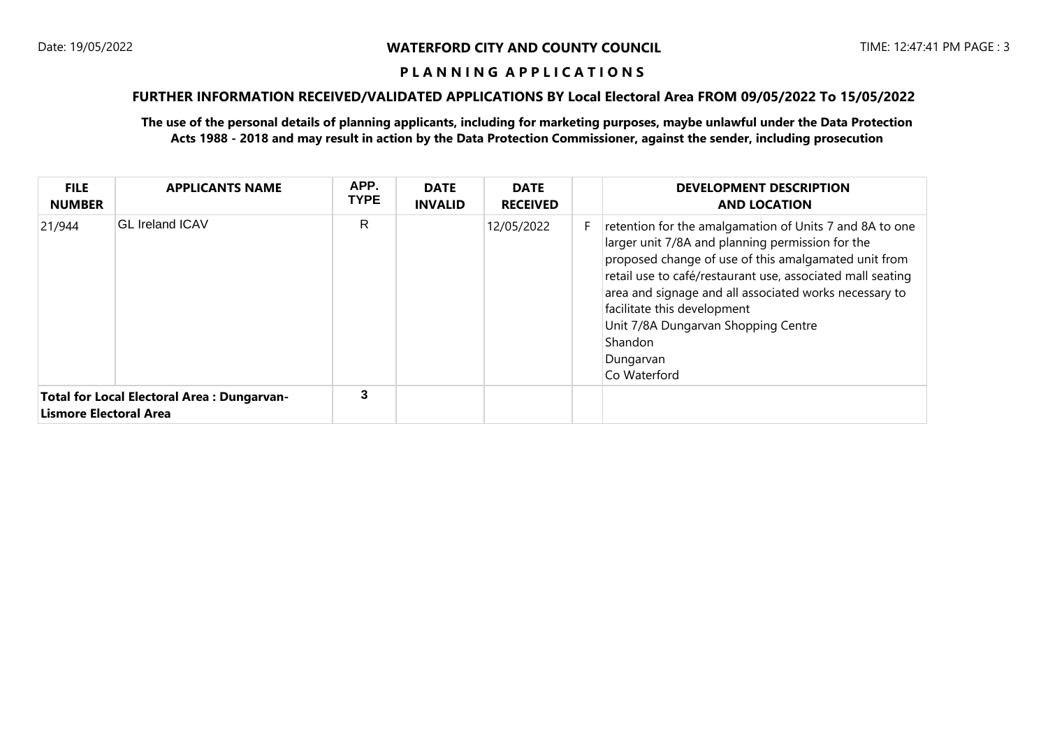# **FURTHER INFORMATION RECEIVED/VALIDATED APPLICATIONS BY Local Electoral Area FROM 09/05/2022 To 15/05/2022**

| <b>FILE</b><br><b>NUMBER</b>                                                | <b>APPLICANTS NAME</b> | APP.<br><b>TYPE</b> | <b>DATE</b><br><b>INVALID</b> | <b>DATE</b><br><b>RECEIVED</b> | <b>DEVELOPMENT DESCRIPTION</b><br><b>AND LOCATION</b>                                                                                                                                                                                                                                                                                                                                                     |
|-----------------------------------------------------------------------------|------------------------|---------------------|-------------------------------|--------------------------------|-----------------------------------------------------------------------------------------------------------------------------------------------------------------------------------------------------------------------------------------------------------------------------------------------------------------------------------------------------------------------------------------------------------|
| 21/944                                                                      | <b>GL Ireland ICAV</b> | R                   |                               | 12/05/2022                     | retention for the amalgamation of Units 7 and 8A to one<br>larger unit 7/8A and planning permission for the<br>proposed change of use of this amalgamated unit from<br>retail use to café/restaurant use, associated mall seating<br>area and signage and all associated works necessary to<br>facilitate this development<br>Unit 7/8A Dungarvan Shopping Centre<br>Shandon<br>Dungarvan<br>Co Waterford |
| <b>Total for Local Electoral Area: Dungarvan-</b><br>Lismore Electoral Area |                        | 3                   |                               |                                |                                                                                                                                                                                                                                                                                                                                                                                                           |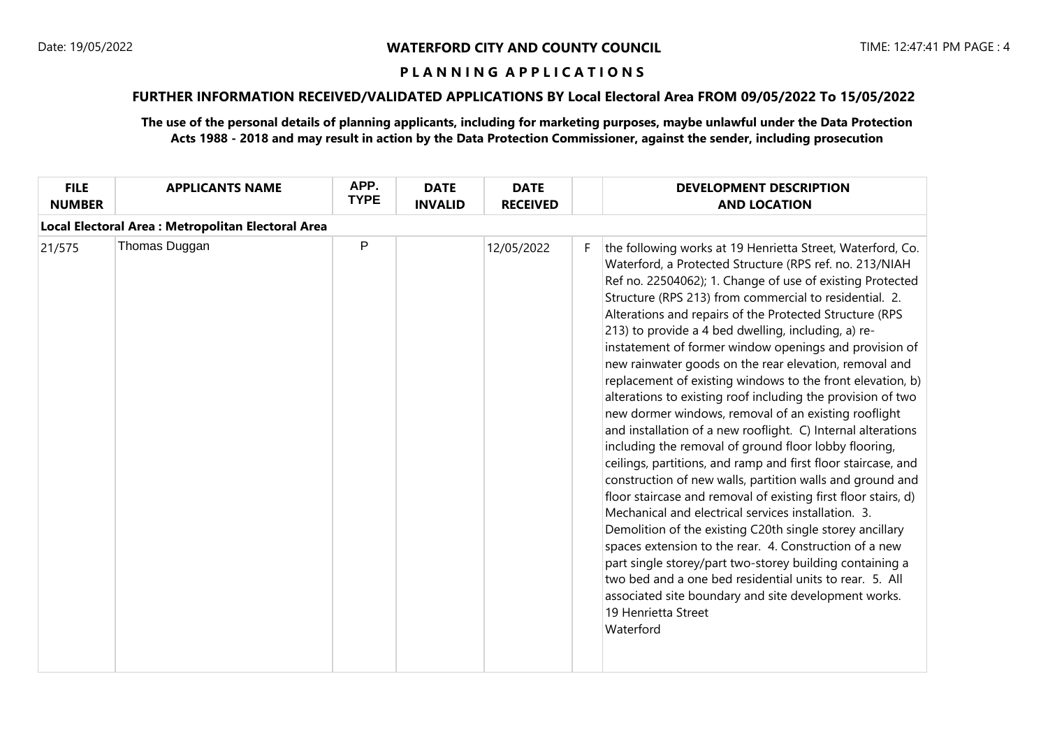# **FURTHER INFORMATION RECEIVED/VALIDATED APPLICATIONS BY Local Electoral Area FROM 09/05/2022 To 15/05/2022**

| Local Electoral Area : Metropolitan Electoral Area<br>P<br>Thomas Duggan<br>12/05/2022<br>21/575<br>F.<br>213) to provide a 4 bed dwelling, including, a) re-<br>Mechanical and electrical services installation. 3. | <b>FILE</b><br><b>NUMBER</b> | <b>APPLICANTS NAME</b> | APP.<br><b>TYPE</b> | <b>DATE</b><br><b>INVALID</b> | <b>DATE</b><br><b>RECEIVED</b> | <b>DEVELOPMENT DESCRIPTION</b><br><b>AND LOCATION</b>                                                                                                                                                                                                                                                                                                                                                                                                                                                                                                                                                                                                                                                                                                                                                                                                                                                                                                                                                                                                                                                                                                                                                                                          |
|----------------------------------------------------------------------------------------------------------------------------------------------------------------------------------------------------------------------|------------------------------|------------------------|---------------------|-------------------------------|--------------------------------|------------------------------------------------------------------------------------------------------------------------------------------------------------------------------------------------------------------------------------------------------------------------------------------------------------------------------------------------------------------------------------------------------------------------------------------------------------------------------------------------------------------------------------------------------------------------------------------------------------------------------------------------------------------------------------------------------------------------------------------------------------------------------------------------------------------------------------------------------------------------------------------------------------------------------------------------------------------------------------------------------------------------------------------------------------------------------------------------------------------------------------------------------------------------------------------------------------------------------------------------|
|                                                                                                                                                                                                                      |                              |                        |                     |                               |                                |                                                                                                                                                                                                                                                                                                                                                                                                                                                                                                                                                                                                                                                                                                                                                                                                                                                                                                                                                                                                                                                                                                                                                                                                                                                |
| 19 Henrietta Street<br>Waterford                                                                                                                                                                                     |                              |                        |                     |                               |                                | the following works at 19 Henrietta Street, Waterford, Co.<br>Waterford, a Protected Structure (RPS ref. no. 213/NIAH<br>Ref no. 22504062); 1. Change of use of existing Protected<br>Structure (RPS 213) from commercial to residential. 2.<br>Alterations and repairs of the Protected Structure (RPS<br>instatement of former window openings and provision of<br>new rainwater goods on the rear elevation, removal and<br>replacement of existing windows to the front elevation, b)<br>alterations to existing roof including the provision of two<br>new dormer windows, removal of an existing rooflight<br>and installation of a new rooflight. C) Internal alterations<br>including the removal of ground floor lobby flooring,<br>ceilings, partitions, and ramp and first floor staircase, and<br>construction of new walls, partition walls and ground and<br>floor staircase and removal of existing first floor stairs, d)<br>Demolition of the existing C20th single storey ancillary<br>spaces extension to the rear. 4. Construction of a new<br>part single storey/part two-storey building containing a<br>two bed and a one bed residential units to rear. 5. All<br>associated site boundary and site development works. |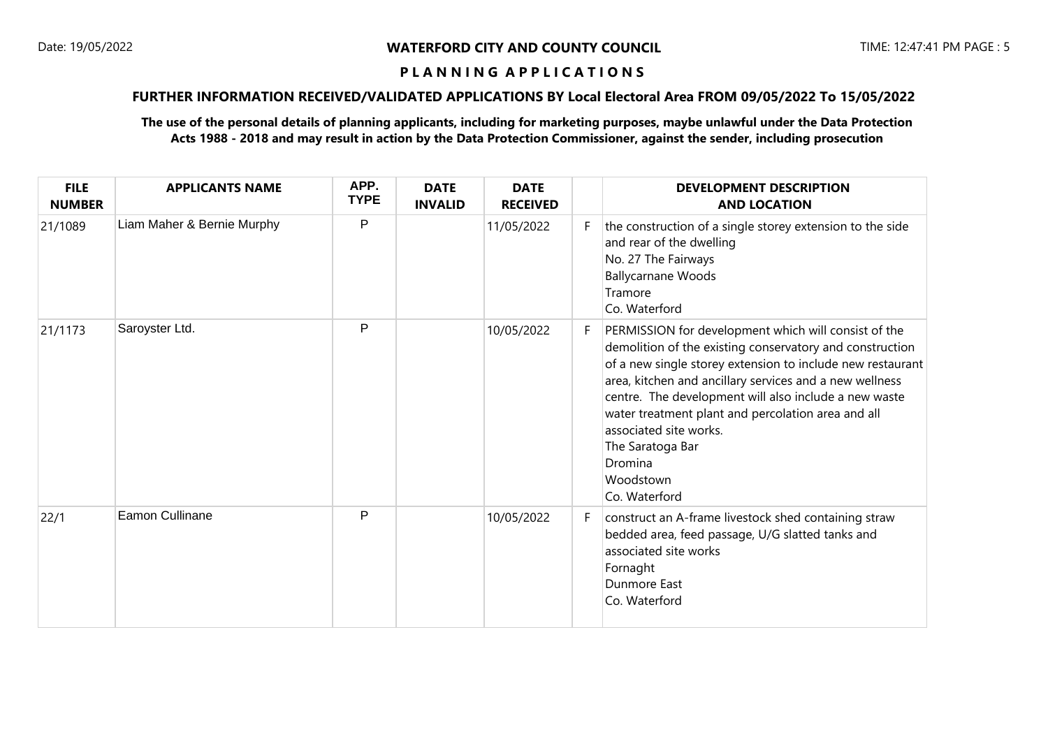# **FURTHER INFORMATION RECEIVED/VALIDATED APPLICATIONS BY Local Electoral Area FROM 09/05/2022 To 15/05/2022**

| <b>FILE</b><br><b>NUMBER</b> | <b>APPLICANTS NAME</b>     | APP.<br><b>TYPE</b> | <b>DATE</b><br><b>INVALID</b> | <b>DATE</b><br><b>RECEIVED</b> |    | <b>DEVELOPMENT DESCRIPTION</b><br><b>AND LOCATION</b>                                                                                                                                                                                                                                                                                                                                                                                           |
|------------------------------|----------------------------|---------------------|-------------------------------|--------------------------------|----|-------------------------------------------------------------------------------------------------------------------------------------------------------------------------------------------------------------------------------------------------------------------------------------------------------------------------------------------------------------------------------------------------------------------------------------------------|
| 21/1089                      | Liam Maher & Bernie Murphy | P                   |                               | 11/05/2022                     |    | the construction of a single storey extension to the side<br>and rear of the dwelling<br>No. 27 The Fairways<br><b>Ballycarnane Woods</b><br>Tramore<br>Co. Waterford                                                                                                                                                                                                                                                                           |
| 21/1173                      | Saroyster Ltd.             | P                   |                               | 10/05/2022                     |    | PERMISSION for development which will consist of the<br>demolition of the existing conservatory and construction<br>of a new single storey extension to include new restaurant<br>area, kitchen and ancillary services and a new wellness<br>centre. The development will also include a new waste<br>water treatment plant and percolation area and all<br>associated site works.<br>The Saratoga Bar<br>Dromina<br>Woodstown<br>Co. Waterford |
| 22/1                         | Eamon Cullinane            | P                   |                               | 10/05/2022                     | F. | construct an A-frame livestock shed containing straw<br>bedded area, feed passage, U/G slatted tanks and<br>associated site works<br>Fornaght<br><b>Dunmore East</b><br>Co. Waterford                                                                                                                                                                                                                                                           |